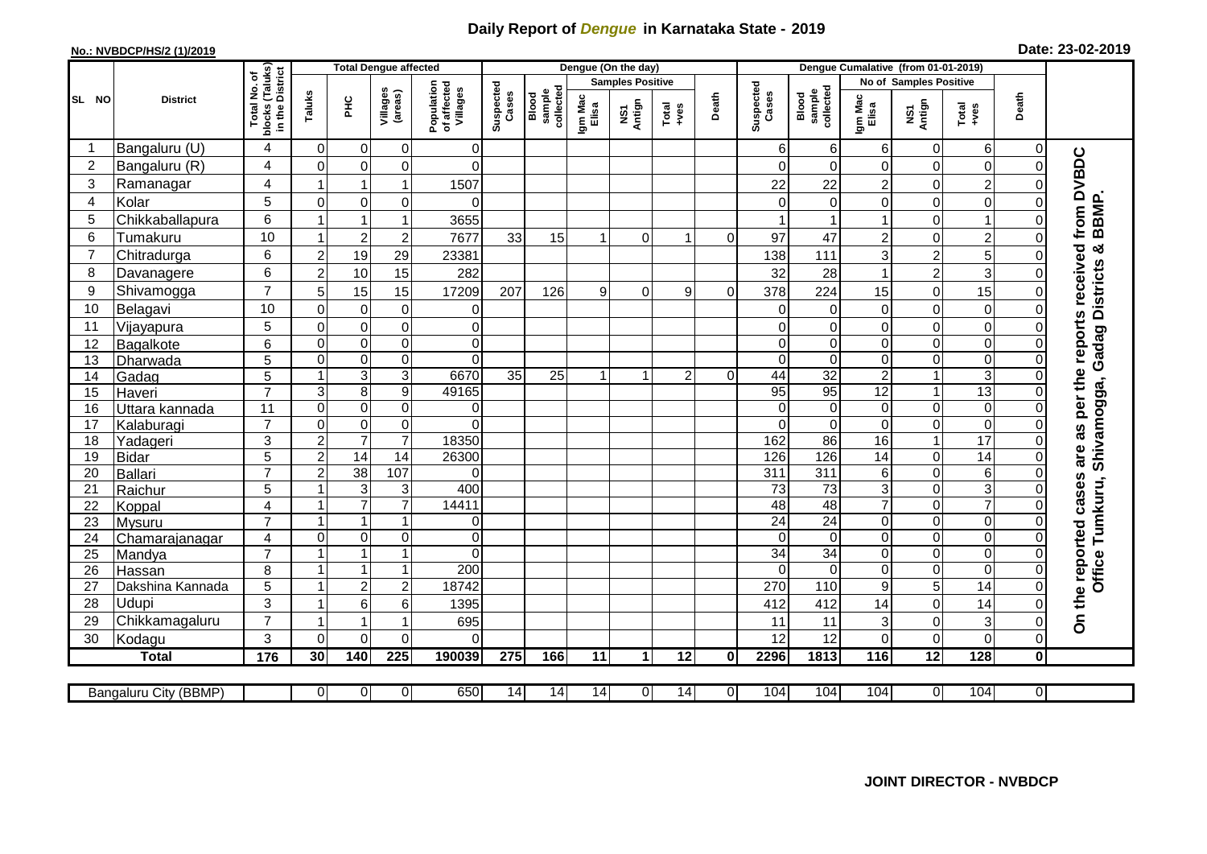## **Daily Report of** *Dengue* **in Karnataka State - 2019**

## **No.: NVBDCP/HS/2 (1)/2019**

| Date: 23-02-2019 |  |  |  |  |
|------------------|--|--|--|--|
|------------------|--|--|--|--|

|                |                           |                                                    | <b>Total Dengue affected</b> |                               |                     |                                       |                    |                              |                  | Dengue (On the day)     |                 |                | Dengue Cumalative (from 01-01-2019) |                              |                  |                               |                            |                |                                            |
|----------------|---------------------------|----------------------------------------------------|------------------------------|-------------------------------|---------------------|---------------------------------------|--------------------|------------------------------|------------------|-------------------------|-----------------|----------------|-------------------------------------|------------------------------|------------------|-------------------------------|----------------------------|----------------|--------------------------------------------|
|                |                           |                                                    |                              |                               |                     |                                       |                    |                              |                  | <b>Samples Positive</b> |                 |                |                                     |                              |                  | <b>No of Samples Positive</b> |                            |                |                                            |
| SL NO          | <b>District</b>           | Total No. of<br>blocks (Taluks)<br>in the District | Taluks                       | E                             | Villages<br>(areas) | Population<br>of affected<br>Villages | Suspected<br>Cases | sample<br>collected<br>Blood | Igm Mac<br>Elisa | NS1<br>Antign           | Total<br>+ves   | Death          | Suspected<br>Cases                  | collected<br>sample<br>Blood | Igm Mac<br>Elisa | NS1<br>Antign                 | Total<br>+ves              | Death          |                                            |
| -1             | Bangaluru (U)             | $\overline{4}$                                     | $\mathbf 0$                  | $\mathbf 0$                   | 0                   | $\mathbf 0$                           |                    |                              |                  |                         |                 |                | 6                                   | 6                            | 6                | 0                             | 6                          | $\Omega$       |                                            |
| $\overline{2}$ | Bangaluru (R)             | $\overline{4}$                                     | $\Omega$                     | $\mathbf 0$                   | 0                   | $\Omega$                              |                    |                              |                  |                         |                 |                | $\Omega$                            | $\Omega$                     | 0                | $\mathbf 0$                   | $\pmb{0}$                  | $\Omega$       | are as per the reports received from DVBDC |
| 3              | Ramanagar                 | 4                                                  | -1                           | $\mathbf 1$                   | 1                   | 1507                                  |                    |                              |                  |                         |                 |                | 22                                  | 22                           | $\overline{c}$   | 0                             | $\overline{2}$             |                |                                            |
| 4              | Kolar                     | 5                                                  | $\mathbf 0$                  | $\mathbf 0$                   | 0                   | $\Omega$                              |                    |                              |                  |                         |                 |                |                                     | 0                            | 0                | $\pmb{0}$                     | $\pmb{0}$                  |                |                                            |
| 5              | Chikkaballapura           | 6                                                  | $\overline{\mathbf{1}}$      | $\overline{1}$                | 1                   | 3655                                  |                    |                              |                  |                         |                 |                |                                     |                              | 1                | $\mathbf 0$                   | $\overline{1}$             |                | BBMP.                                      |
| 6              | Tumakuru                  | 10                                                 | $\mathbf{1}$                 | $\overline{c}$                | $\overline{c}$      | 7677                                  | 33                 | 15                           | $\overline{1}$   | $\Omega$                | 1               | $\Omega$       | 97                                  | 47                           | $\overline{c}$   | $\mathbf 0$                   | $\overline{2}$             |                |                                            |
| $\overline{7}$ | Chitradurga               | 6                                                  | $\overline{2}$               | 19                            | 29                  | 23381                                 |                    |                              |                  |                         |                 |                | 138                                 | 111                          | 3                | $\boldsymbol{2}$              | 5                          |                |                                            |
| 8              | Davanagere                | 6                                                  | $\overline{2}$               | 10                            | 15                  | 282                                   |                    |                              |                  |                         |                 |                | 32                                  | 28                           | 1                | $\overline{2}$                | 3                          |                |                                            |
| 9              | Shivamogga                | $\overline{7}$                                     | 5                            | 15                            | 15                  | 17209                                 | 207                | 126                          | 9                | $\Omega$                | 9               | $\Omega$       | 378                                 | 224                          | 15               | $\mathbf 0$                   | 15                         |                | Gadag Districts &                          |
| 10             | Belagavi                  | 10                                                 | $\mathbf 0$                  | $\mathbf 0$                   | 0                   | 0                                     |                    |                              |                  |                         |                 |                | $\Omega$                            | 0                            | 0                | $\mathbf 0$                   | 0                          |                |                                            |
| 11             | Vijayapura                | $\overline{5}$                                     | $\mathbf 0$                  | $\mathbf 0$                   | 0                   | $\mathbf 0$                           |                    |                              |                  |                         |                 |                |                                     | $\mathbf 0$                  | 0                | $\mathbf 0$                   | $\pmb{0}$                  |                |                                            |
| 12             | Bagalkote                 | 6                                                  | $\mathbf 0$                  | $\mathbf 0$                   | 0                   | $\mathbf 0$                           |                    |                              |                  |                         |                 |                | $\Omega$                            | $\mathbf 0$                  | 0                | $\mathbf 0$                   | $\pmb{0}$                  |                |                                            |
| 13             | Dharwada                  | 5                                                  | $\mathbf 0$                  | $\mathbf 0$                   | 0                   | $\Omega$                              |                    |                              |                  |                         |                 |                | $\Omega$                            | $\pmb{0}$                    | 0                | $\pmb{0}$                     | $\pmb{0}$                  |                |                                            |
| 14             | Gadag                     | 5                                                  | $\mathbf{1}$                 | $\mathbf{3}$                  | 3                   | 6670                                  | 35                 | 25                           | $\mathbf{1}$     |                         | $\overline{2}$  | $\Omega$       | 44                                  | $\overline{32}$              | $\overline{c}$   | $\mathbf{1}$                  | $\sqrt{3}$                 |                |                                            |
| 15             | Haveri                    | $\overline{7}$                                     | 3                            | $\overline{8}$                | $\overline{9}$      | 49165                                 |                    |                              |                  |                         |                 |                | 95                                  | 95                           | 12               | $\overline{1}$                | 13                         |                |                                            |
| 16             | <u>Uttara kannada</u>     | 11                                                 | $\mathbf 0$                  | $\mathbf 0$                   | 0                   | $\mathbf 0$                           |                    |                              |                  |                         |                 |                | $\Omega$                            | $\mathbf 0$                  | 0                | $\mathbf 0$                   | $\pmb{0}$                  |                | Office Tumkuru, Shivamogga,                |
| 17             | Kalaburagi                | $\overline{7}$                                     | $\overline{0}$               | $\mathbf 0$                   | 0                   | $\Omega$                              |                    |                              |                  |                         |                 |                | $\Omega$                            | $\Omega$                     | $\Omega$         | $\overline{0}$                | $\overline{0}$             |                |                                            |
| 18             | Yadageri                  | 3                                                  | $\overline{2}$               | $\overline{7}$                | $\overline{7}$      | 18350                                 |                    |                              |                  |                         |                 |                | 162                                 | 86                           | 16               | $\mathbf{1}$                  | $\overline{17}$            |                |                                            |
| 19             | <b>Bidar</b>              | 5                                                  | $\overline{2}$               | $\overline{14}$               | $\overline{14}$     | 26300                                 |                    |                              |                  |                         |                 |                | 126                                 | 126                          | 14               | 0                             | 14                         |                |                                            |
| 20             | <b>Ballari</b>            | $\overline{7}$                                     | $\overline{c}$               | 38                            | 107                 | $\Omega$                              |                    |                              |                  |                         |                 |                | 311                                 | 311                          | 6                | $\mathbf 0$                   | $6\phantom{1}6$            | ∩              |                                            |
| 21             | Raichur                   | $5\phantom{.0}$                                    | -1                           | $\ensuremath{\mathsf{3}}$     | 3                   | 400                                   |                    |                              |                  |                         |                 |                | 73                                  | 73                           | 3                | $\mathbf 0$                   | $\ensuremath{\mathsf{3}}$  |                |                                            |
| 22             | Koppal                    | $\overline{4}$                                     | $\overline{\mathbf{1}}$      | $\overline{7}$                | $\overline{7}$      | 14411                                 |                    |                              |                  |                         |                 |                | 48                                  | 48                           | $\overline{7}$   | $\pmb{0}$                     | $\overline{7}$             |                |                                            |
| 23             | Mysuru                    | $\overline{7}$                                     | 1                            | $\mathbf{1}$                  | 1                   | $\mathbf 0$                           |                    |                              |                  |                         |                 |                | 24                                  | $\overline{24}$              | 0                | $\pmb{0}$                     | $\overline{0}$             | $\Omega$       |                                            |
| 24             | Chamarajanagar            | $\overline{4}$<br>$\overline{7}$                   | $\Omega$<br>$\overline{ }$   | $\mathbf 0$<br>$\overline{1}$ | 0<br>1              | $\Omega$                              |                    |                              |                  |                         |                 |                | $\Omega$                            | $\Omega$                     | $\Omega$         | $\mathbf 0$                   | $\mathbf 0$                | $\Omega$       |                                            |
| 25             | Mandya                    |                                                    | $\overline{1}$               | $\overline{1}$                | $\mathbf{1}$        | $\Omega$<br>200                       |                    |                              |                  |                         |                 |                | $\overline{34}$<br>$\Omega$         | $\overline{34}$              | $\Omega$         | $\mathbf 0$                   | $\mathbf 0$<br>$\mathbf 0$ | $\Omega$       |                                            |
| 26             | Hassan                    | 8<br>5                                             | $\overline{1}$               | $\overline{c}$                | $\overline{c}$      | 18742                                 |                    |                              |                  |                         |                 |                | 270                                 | $\mathbf 0$<br>110           | 0<br>9           | $\boldsymbol{0}$<br>5         | $\overline{14}$            | $\Omega$       |                                            |
| 27<br>28       | Dakshina Kannada<br>Udupi | 3                                                  | $\overline{\mathbf{1}}$      | $6\phantom{1}6$               | 6                   | 1395                                  |                    |                              |                  |                         |                 |                | 412                                 | 412                          | 14               | $\mathbf 0$                   | 14                         |                |                                            |
| 29             | Chikkamagaluru            | $\overline{7}$                                     | $\overline{\mathbf{1}}$      | $\overline{1}$                | 1                   | 695                                   |                    |                              |                  |                         |                 |                | 11                                  | 11                           | 3                | 0                             | $\sqrt{3}$                 | U              | On the reported cases                      |
| 30             | Kodagu                    | $\mathbf{3}$                                       | $\Omega$                     | $\mathbf 0$                   | 0                   | $\Omega$                              |                    |                              |                  |                         |                 |                | 12                                  | 12                           | 0                | 0                             | $\mathbf 0$                | $\Omega$       |                                            |
|                | <b>Total</b>              | 176                                                | 30                           | 140                           | $\overline{225}$    | 190039                                | 275                | 166                          | $\overline{11}$  | 1                       | $\overline{12}$ | $\mathbf 0$    | 2296                                | 1813                         | 116              | $\overline{12}$               | 128                        | 0              |                                            |
|                |                           |                                                    |                              |                               |                     |                                       |                    |                              |                  |                         |                 |                |                                     |                              |                  |                               |                            |                |                                            |
|                | Bangaluru City (BBMP)     |                                                    | $\overline{0}$               | 0                             | 0                   | 650                                   | 14                 | 14                           | 14               | $\overline{0}$          | 14              | $\overline{0}$ | 104                                 | 104                          | 104              | $\overline{0}$                | 104                        | $\overline{0}$ |                                            |